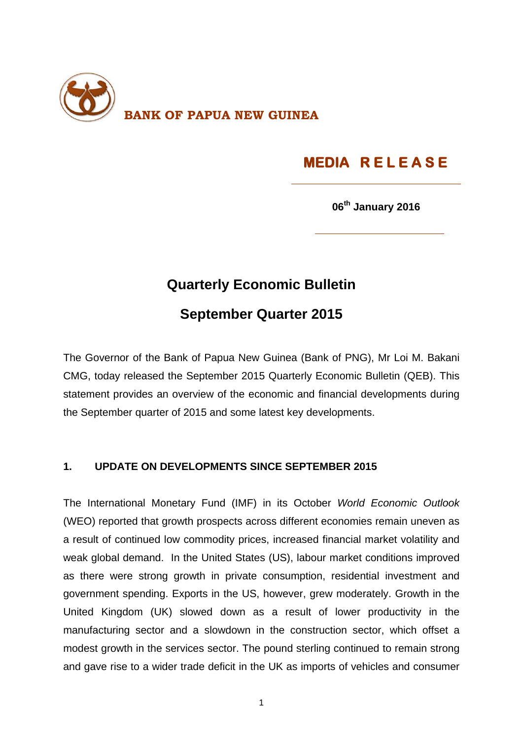

## **MEDIA R E L E A S E**

**06th January 2016**

## **Quarterly Economic Bulletin September Quarter 2015**

The Governor of the Bank of Papua New Guinea (Bank of PNG), Mr Loi M. Bakani CMG, today released the September 2015 Quarterly Economic Bulletin (QEB). This statement provides an overview of the economic and financial developments during the September quarter of 2015 and some latest key developments.

## **1. UPDATE ON DEVELOPMENTS SINCE SEPTEMBER 2015**

The International Monetary Fund (IMF) in its October *World Economic Outlook* (WEO) reported that growth prospects across different economies remain uneven as a result of continued low commodity prices, increased financial market volatility and weak global demand. In the United States (US), labour market conditions improved as there were strong growth in private consumption, residential investment and government spending. Exports in the US, however, grew moderately. Growth in the United Kingdom (UK) slowed down as a result of lower productivity in the manufacturing sector and a slowdown in the construction sector, which offset a modest growth in the services sector. The pound sterling continued to remain strong and gave rise to a wider trade deficit in the UK as imports of vehicles and consumer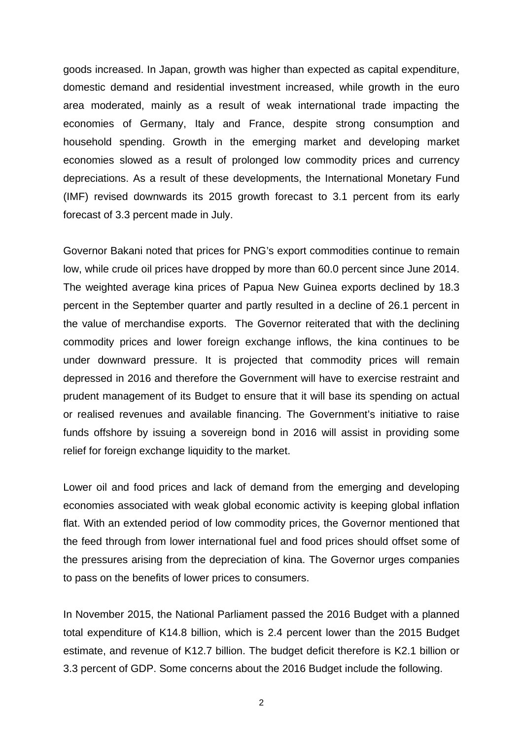goods increased. In Japan, growth was higher than expected as capital expenditure, domestic demand and residential investment increased, while growth in the euro area moderated, mainly as a result of weak international trade impacting the economies of Germany, Italy and France, despite strong consumption and household spending. Growth in the emerging market and developing market economies slowed as a result of prolonged low commodity prices and currency depreciations. As a result of these developments, the International Monetary Fund (IMF) revised downwards its 2015 growth forecast to 3.1 percent from its early forecast of 3.3 percent made in July.

Governor Bakani noted that prices for PNG's export commodities continue to remain low, while crude oil prices have dropped by more than 60.0 percent since June 2014. The weighted average kina prices of Papua New Guinea exports declined by 18.3 percent in the September quarter and partly resulted in a decline of 26.1 percent in the value of merchandise exports. The Governor reiterated that with the declining commodity prices and lower foreign exchange inflows, the kina continues to be under downward pressure. It is projected that commodity prices will remain depressed in 2016 and therefore the Government will have to exercise restraint and prudent management of its Budget to ensure that it will base its spending on actual or realised revenues and available financing. The Government's initiative to raise funds offshore by issuing a sovereign bond in 2016 will assist in providing some relief for foreign exchange liquidity to the market.

Lower oil and food prices and lack of demand from the emerging and developing economies associated with weak global economic activity is keeping global inflation flat. With an extended period of low commodity prices, the Governor mentioned that the feed through from lower international fuel and food prices should offset some of the pressures arising from the depreciation of kina. The Governor urges companies to pass on the benefits of lower prices to consumers.

In November 2015, the National Parliament passed the 2016 Budget with a planned total expenditure of K14.8 billion, which is 2.4 percent lower than the 2015 Budget estimate, and revenue of K12.7 billion. The budget deficit therefore is K2.1 billion or 3.3 percent of GDP. Some concerns about the 2016 Budget include the following.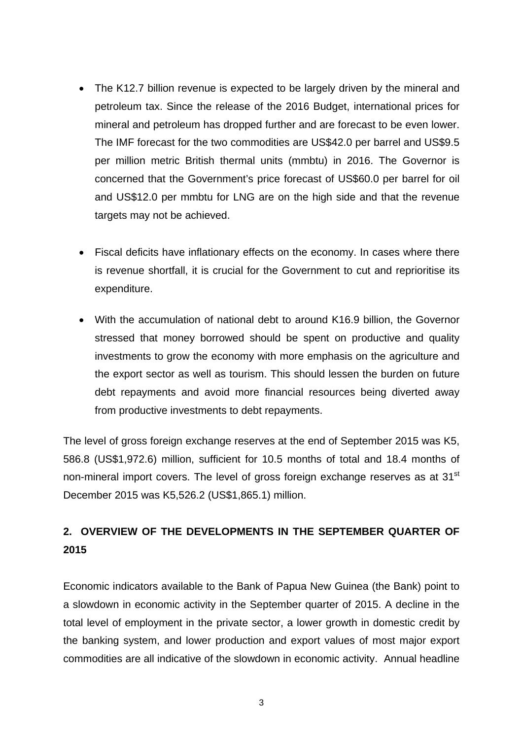- The K12.7 billion revenue is expected to be largely driven by the mineral and petroleum tax. Since the release of the 2016 Budget, international prices for mineral and petroleum has dropped further and are forecast to be even lower. The IMF forecast for the two commodities are US\$42.0 per barrel and US\$9.5 per million metric British thermal units (mmbtu) in 2016. The Governor is concerned that the Government's price forecast of US\$60.0 per barrel for oil and US\$12.0 per mmbtu for LNG are on the high side and that the revenue targets may not be achieved.
- Fiscal deficits have inflationary effects on the economy. In cases where there is revenue shortfall, it is crucial for the Government to cut and reprioritise its expenditure.
- With the accumulation of national debt to around K16.9 billion, the Governor stressed that money borrowed should be spent on productive and quality investments to grow the economy with more emphasis on the agriculture and the export sector as well as tourism. This should lessen the burden on future debt repayments and avoid more financial resources being diverted away from productive investments to debt repayments.

The level of gross foreign exchange reserves at the end of September 2015 was K5, 586.8 (US\$1,972.6) million, sufficient for 10.5 months of total and 18.4 months of non-mineral import covers. The level of gross foreign exchange reserves as at 31<sup>st</sup> December 2015 was K5,526.2 (US\$1,865.1) million.

## **2. OVERVIEW OF THE DEVELOPMENTS IN THE SEPTEMBER QUARTER OF 2015**

Economic indicators available to the Bank of Papua New Guinea (the Bank) point to a slowdown in economic activity in the September quarter of 2015. A decline in the total level of employment in the private sector, a lower growth in domestic credit by the banking system, and lower production and export values of most major export commodities are all indicative of the slowdown in economic activity. Annual headline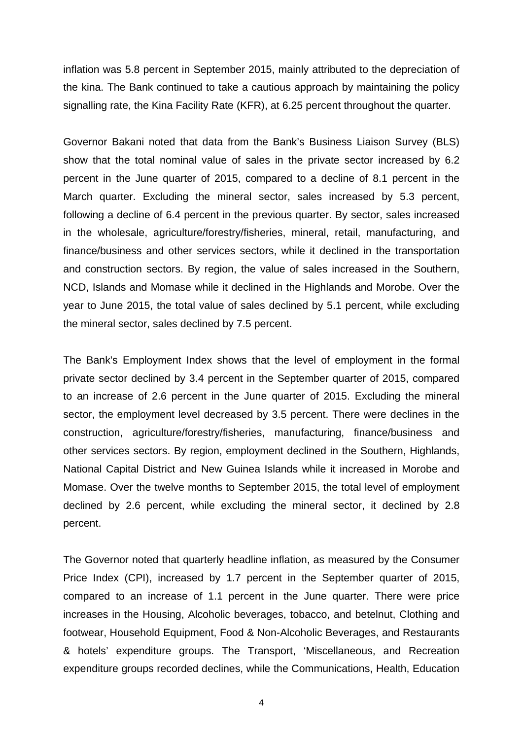inflation was 5.8 percent in September 2015, mainly attributed to the depreciation of the kina. The Bank continued to take a cautious approach by maintaining the policy signalling rate, the Kina Facility Rate (KFR), at 6.25 percent throughout the quarter.

Governor Bakani noted that data from the Bank's Business Liaison Survey (BLS) show that the total nominal value of sales in the private sector increased by 6.2 percent in the June quarter of 2015, compared to a decline of 8.1 percent in the March quarter. Excluding the mineral sector, sales increased by 5.3 percent, following a decline of 6.4 percent in the previous quarter. By sector, sales increased in the wholesale, agriculture/forestry/fisheries, mineral, retail, manufacturing, and finance/business and other services sectors, while it declined in the transportation and construction sectors. By region, the value of sales increased in the Southern, NCD, Islands and Momase while it declined in the Highlands and Morobe. Over the year to June 2015, the total value of sales declined by 5.1 percent, while excluding the mineral sector, sales declined by 7.5 percent.

The Bank's Employment Index shows that the level of employment in the formal private sector declined by 3.4 percent in the September quarter of 2015, compared to an increase of 2.6 percent in the June quarter of 2015. Excluding the mineral sector, the employment level decreased by 3.5 percent. There were declines in the construction, agriculture/forestry/fisheries, manufacturing, finance/business and other services sectors. By region, employment declined in the Southern, Highlands, National Capital District and New Guinea Islands while it increased in Morobe and Momase. Over the twelve months to September 2015, the total level of employment declined by 2.6 percent, while excluding the mineral sector, it declined by 2.8 percent.

The Governor noted that quarterly headline inflation, as measured by the Consumer Price Index (CPI), increased by 1.7 percent in the September quarter of 2015, compared to an increase of 1.1 percent in the June quarter. There were price increases in the Housing, Alcoholic beverages, tobacco, and betelnut, Clothing and footwear, Household Equipment, Food & Non-Alcoholic Beverages, and Restaurants & hotels' expenditure groups. The Transport, 'Miscellaneous, and Recreation expenditure groups recorded declines, while the Communications, Health, Education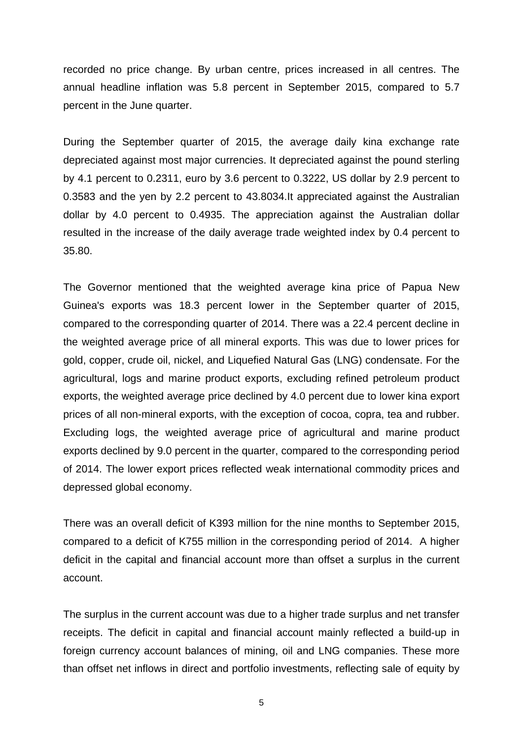recorded no price change. By urban centre, prices increased in all centres. The annual headline inflation was 5.8 percent in September 2015, compared to 5.7 percent in the June quarter.

During the September quarter of 2015, the average daily kina exchange rate depreciated against most major currencies. It depreciated against the pound sterling by 4.1 percent to 0.2311, euro by 3.6 percent to 0.3222, US dollar by 2.9 percent to 0.3583 and the yen by 2.2 percent to 43.8034.It appreciated against the Australian dollar by 4.0 percent to 0.4935. The appreciation against the Australian dollar resulted in the increase of the daily average trade weighted index by 0.4 percent to 35.80.

The Governor mentioned that the weighted average kina price of Papua New Guinea's exports was 18.3 percent lower in the September quarter of 2015, compared to the corresponding quarter of 2014. There was a 22.4 percent decline in the weighted average price of all mineral exports. This was due to lower prices for gold, copper, crude oil, nickel, and Liquefied Natural Gas (LNG) condensate. For the agricultural, logs and marine product exports, excluding refined petroleum product exports, the weighted average price declined by 4.0 percent due to lower kina export prices of all non-mineral exports, with the exception of cocoa, copra, tea and rubber. Excluding logs, the weighted average price of agricultural and marine product exports declined by 9.0 percent in the quarter, compared to the corresponding period of 2014. The lower export prices reflected weak international commodity prices and depressed global economy.

There was an overall deficit of K393 million for the nine months to September 2015, compared to a deficit of K755 million in the corresponding period of 2014. A higher deficit in the capital and financial account more than offset a surplus in the current account.

The surplus in the current account was due to a higher trade surplus and net transfer receipts. The deficit in capital and financial account mainly reflected a build-up in foreign currency account balances of mining, oil and LNG companies. These more than offset net inflows in direct and portfolio investments, reflecting sale of equity by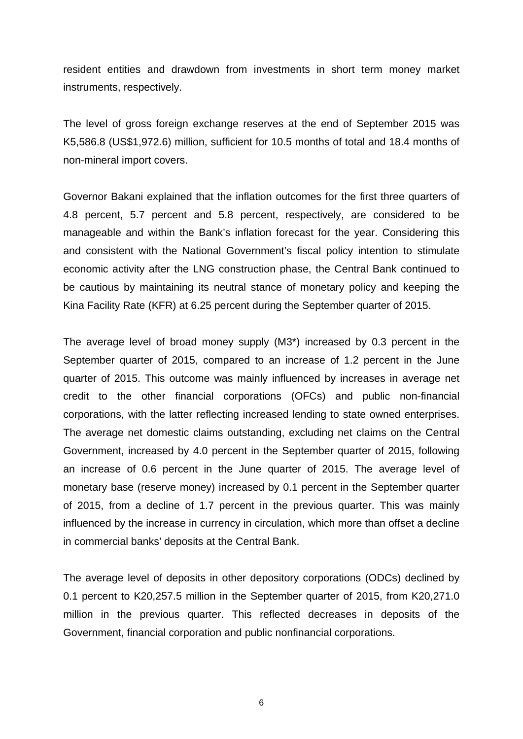resident entities and drawdown from investments in short term money market instruments, respectively.

The level of gross foreign exchange reserves at the end of September 2015 was K5,586.8 (US\$1,972.6) million, sufficient for 10.5 months of total and 18.4 months of non-mineral import covers.

Governor Bakani explained that the inflation outcomes for the first three quarters of 4.8 percent, 5.7 percent and 5.8 percent, respectively, are considered to be manageable and within the Bank's inflation forecast for the year. Considering this and consistent with the National Government's fiscal policy intention to stimulate economic activity after the LNG construction phase, the Central Bank continued to be cautious by maintaining its neutral stance of monetary policy and keeping the Kina Facility Rate (KFR) at 6.25 percent during the September quarter of 2015.

The average level of broad money supply (M3\*) increased by 0.3 percent in the September quarter of 2015, compared to an increase of 1.2 percent in the June quarter of 2015. This outcome was mainly influenced by increases in average net credit to the other financial corporations (OFCs) and public non-financial corporations, with the latter reflecting increased lending to state owned enterprises. The average net domestic claims outstanding, excluding net claims on the Central Government, increased by 4.0 percent in the September quarter of 2015, following an increase of 0.6 percent in the June quarter of 2015. The average level of monetary base (reserve money) increased by 0.1 percent in the September quarter of 2015, from a decline of 1.7 percent in the previous quarter. This was mainly influenced by the increase in currency in circulation, which more than offset a decline in commercial banks' deposits at the Central Bank.

The average level of deposits in other depository corporations (ODCs) declined by 0.1 percent to K20,257.5 million in the September quarter of 2015, from K20,271.0 million in the previous quarter. This reflected decreases in deposits of the Government, financial corporation and public nonfinancial corporations.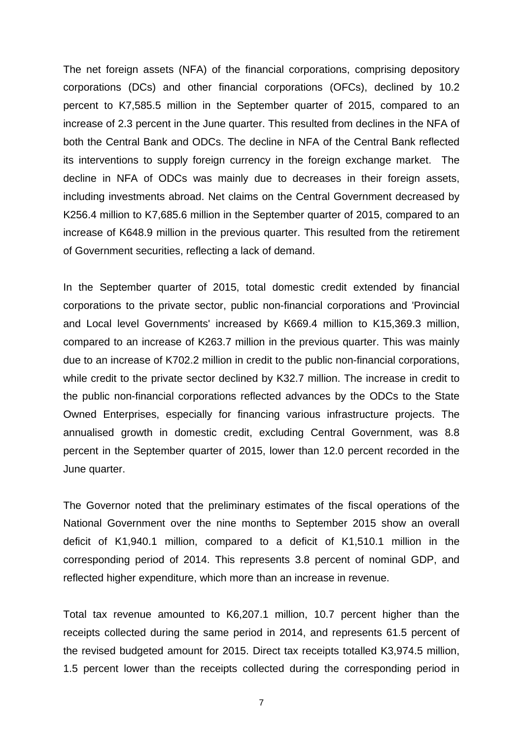The net foreign assets (NFA) of the financial corporations, comprising depository corporations (DCs) and other financial corporations (OFCs), declined by 10.2 percent to K7,585.5 million in the September quarter of 2015, compared to an increase of 2.3 percent in the June quarter. This resulted from declines in the NFA of both the Central Bank and ODCs. The decline in NFA of the Central Bank reflected its interventions to supply foreign currency in the foreign exchange market. The decline in NFA of ODCs was mainly due to decreases in their foreign assets, including investments abroad. Net claims on the Central Government decreased by K256.4 million to K7,685.6 million in the September quarter of 2015, compared to an increase of K648.9 million in the previous quarter. This resulted from the retirement of Government securities, reflecting a lack of demand.

In the September quarter of 2015, total domestic credit extended by financial corporations to the private sector, public non-financial corporations and 'Provincial and Local level Governments' increased by K669.4 million to K15,369.3 million, compared to an increase of K263.7 million in the previous quarter. This was mainly due to an increase of K702.2 million in credit to the public non-financial corporations, while credit to the private sector declined by K32.7 million. The increase in credit to the public non-financial corporations reflected advances by the ODCs to the State Owned Enterprises, especially for financing various infrastructure projects. The annualised growth in domestic credit, excluding Central Government, was 8.8 percent in the September quarter of 2015, lower than 12.0 percent recorded in the June quarter.

The Governor noted that the preliminary estimates of the fiscal operations of the National Government over the nine months to September 2015 show an overall deficit of K1,940.1 million, compared to a deficit of K1,510.1 million in the corresponding period of 2014. This represents 3.8 percent of nominal GDP, and reflected higher expenditure, which more than an increase in revenue.

Total tax revenue amounted to K6,207.1 million, 10.7 percent higher than the receipts collected during the same period in 2014, and represents 61.5 percent of the revised budgeted amount for 2015. Direct tax receipts totalled K3,974.5 million, 1.5 percent lower than the receipts collected during the corresponding period in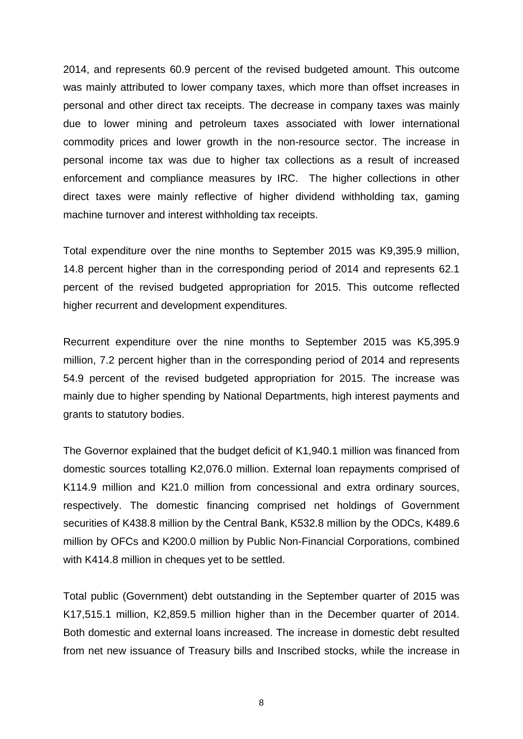2014, and represents 60.9 percent of the revised budgeted amount. This outcome was mainly attributed to lower company taxes, which more than offset increases in personal and other direct tax receipts. The decrease in company taxes was mainly due to lower mining and petroleum taxes associated with lower international commodity prices and lower growth in the non-resource sector. The increase in personal income tax was due to higher tax collections as a result of increased enforcement and compliance measures by IRC. The higher collections in other direct taxes were mainly reflective of higher dividend withholding tax, gaming machine turnover and interest withholding tax receipts.

Total expenditure over the nine months to September 2015 was K9,395.9 million, 14.8 percent higher than in the corresponding period of 2014 and represents 62.1 percent of the revised budgeted appropriation for 2015. This outcome reflected higher recurrent and development expenditures.

Recurrent expenditure over the nine months to September 2015 was K5,395.9 million, 7.2 percent higher than in the corresponding period of 2014 and represents 54.9 percent of the revised budgeted appropriation for 2015. The increase was mainly due to higher spending by National Departments, high interest payments and grants to statutory bodies.

The Governor explained that the budget deficit of K1,940.1 million was financed from domestic sources totalling K2,076.0 million. External loan repayments comprised of K114.9 million and K21.0 million from concessional and extra ordinary sources, respectively. The domestic financing comprised net holdings of Government securities of K438.8 million by the Central Bank, K532.8 million by the ODCs, K489.6 million by OFCs and K200.0 million by Public Non-Financial Corporations, combined with K414.8 million in cheques yet to be settled.

Total public (Government) debt outstanding in the September quarter of 2015 was K17,515.1 million, K2,859.5 million higher than in the December quarter of 2014. Both domestic and external loans increased. The increase in domestic debt resulted from net new issuance of Treasury bills and Inscribed stocks, while the increase in